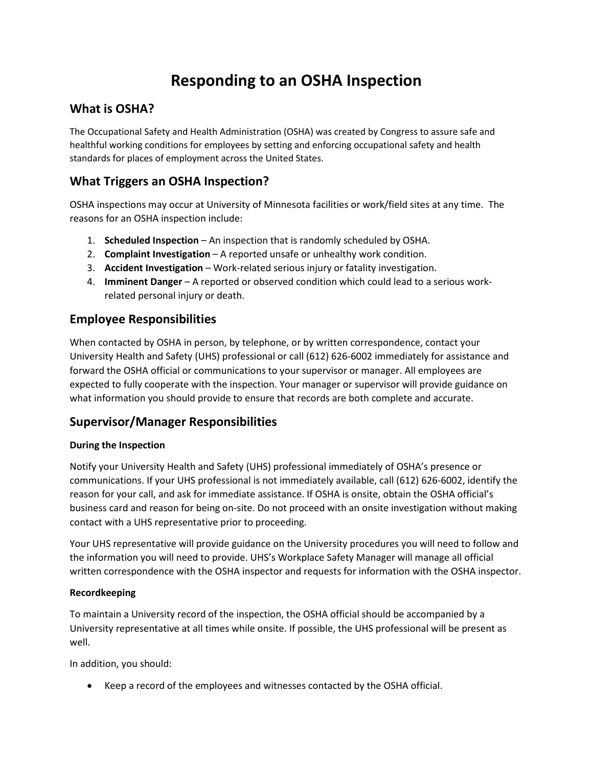# **Responding to an OSHA Inspection**

## **What is OSHA?**

The Occupational Safety and Health Administration (OSHA) was created by Congress to assure safe and healthful working conditions for employees by setting and enforcing occupational safety and health standards for places of employment across the United States.

# **What Triggers an OSHA Inspection?**

OSHA inspections may occur at University of Minnesota facilities or work/field sites at any time. The reasons for an OSHA inspection include:

- 1. **Scheduled Inspection** An inspection that is randomly scheduled by OSHA.
- 2. **Complaint Investigation** A reported unsafe or unhealthy work condition.
- 3. **Accident Investigation** Work-related serious injury or fatality investigation.
- 4. **Imminent Danger** A reported or observed condition which could lead to a serious workrelated personal injury or death.

## **Employee Responsibilities**

When contacted by OSHA in person, by telephone, or by written correspondence, contact your University Health and Safety (UHS) professional or call (612) 626-6002 immediately for assistance and forward the OSHA official or communications to your supervisor or manager. All employees are expected to fully cooperate with the inspection. Your manager or supervisor will provide guidance on what information you should provide to ensure that records are both complete and accurate.

# **Supervisor/Manager Responsibilities**

### **During the Inspection**

Notify your University Health and Safety (UHS) professional immediately of OSHA's presence or communications. If your UHS professional is not immediately available, call (612) 626-6002, identify the reason for your call, and ask for immediate assistance. If OSHA is onsite, obtain the OSHA official's business card and reason for being on-site. Do not proceed with an onsite investigation without making contact with a UHS representative prior to proceeding.

Your UHS representative will provide guidance on the University procedures you will need to follow and the information you will need to provide. UHS's Workplace Safety Manager will manage all official written correspondence with the OSHA inspector and requests for information with the OSHA inspector.

### **Recordkeeping**

To maintain a University record of the inspection, the OSHA official should be accompanied by a University representative at all times while onsite. If possible, the UHS professional will be present as well.

In addition, you should:

• Keep a record of the employees and witnesses contacted by the OSHA official.